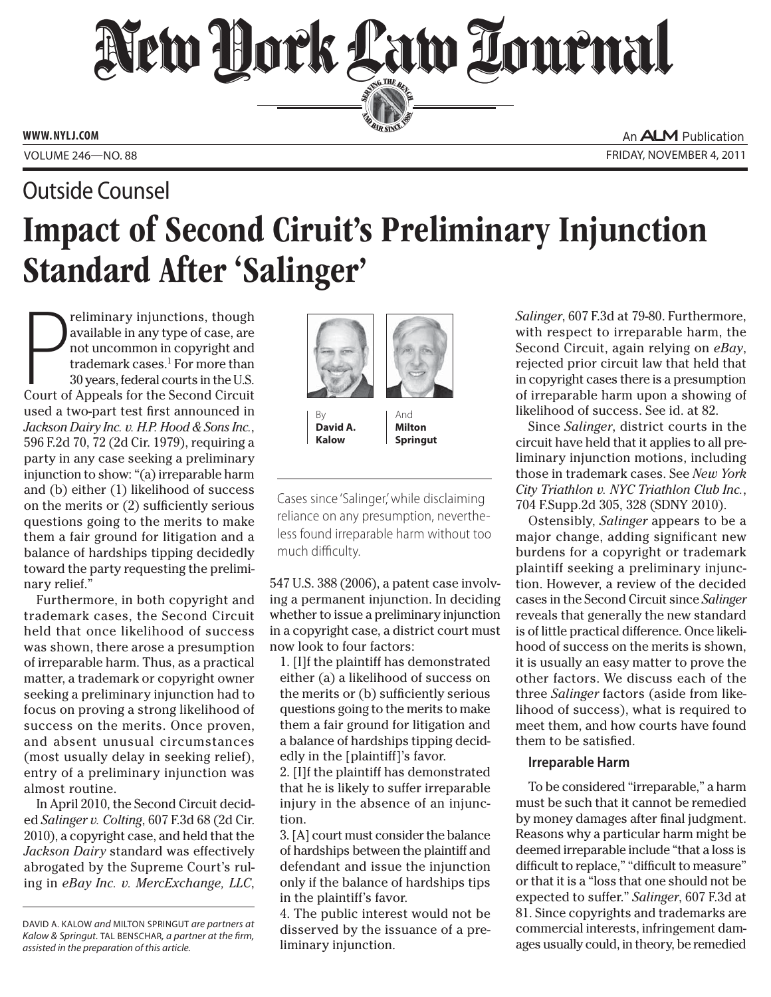# New Dock Law Lournal SERVING THE BET

**ED BAR SINCE 1888** 

**WWW. NYLJ.COM**

An **ALM** Publication VOLUME 246 ROO. 88 FRIDAY, NOVEMBER 4, 2011

## Impact of Second Ciruit's Preliminary Injunction Standard After 'Salinger' Outside Counsel

P reliminary injunctions, though available in any type of case, are not uncommon in copyright and trademark cases.<sup>1</sup> For more than 30 years, federal courts in the U.S. Court of Appeals for the Second Circuit used a two-part test first announced in *Jackson Dairy Inc. v. H.P. Hood & Sons Inc.*, 596 F.2d 70, 72 (2d Cir. 1979), requiring a party in any case seeking a preliminary injunction to show: "(a) irreparable harm and (b) either (1) likelihood of success on the merits or (2) sufficiently serious questions going to the merits to make them a fair ground for litigation and a balance of hardships tipping decidedly toward the party requesting the preliminary relief."

Furthermore, in both copyright and trademark cases, the Second Circuit held that once likelihood of success was shown, there arose a presumption of irreparable harm. Thus, as a practical matter, a trademark or copyright owner seeking a preliminary injunction had to focus on proving a strong likelihood of success on the merits. Once proven, and absent unusual circumstances (most usually delay in seeking relief), entry of a preliminary injunction was almost routine.

In April 2010, the Second Circuit decided *Salinger v. Colting*, 607 F.3d 68 (2d Cir. 2010), a copyright case, and held that the *Jackson Dairy* standard was effectively abrogated by the Supreme Court's ruling in *eBay Inc. v. MercExchange, LLC*,



By **David A. Kalow**

And **Milton Springut**

Cases since 'Salinger,' while disclaiming reliance on any presumption, nevertheless found irreparable harm without too much difficulty.

547 U.S. 388 (2006), a patent case involving a permanent injunction. In deciding whether to issue a preliminary injunction in a copyright case, a district court must now look to four factors:

1. [I]f the plaintiff has demonstrated either (a) a likelihood of success on the merits or (b) sufficiently serious questions going to the merits to make them a fair ground for litigation and a balance of hardships tipping decidedly in the [plaintiff]'s favor.

2. [I]f the plaintiff has demonstrated that he is likely to suffer irreparable injury in the absence of an injunction.

3. [A] court must consider the balance of hardships between the plaintiff and defendant and issue the injunction only if the balance of hardships tips in the plaintiff's favor.

4. The public interest would not be disserved by the issuance of a preliminary injunction.

*Salinger*, 607 F.3d at 79-80. Furthermore, with respect to irreparable harm, the Second Circuit, again relying on *eBay*, rejected prior circuit law that held that in copyright cases there is a presumption of irreparable harm upon a showing of likelihood of success. See id. at 82.

Since *Salinger*, district courts in the circuit have held that it applies to all preliminary injunction motions, including those in trademark cases. See *New York City Triathlon v. NYC Triathlon Club Inc.*, 704 F.Supp.2d 305, 328 (SDNY 2010).

Ostensibly, *Salinger* appears to be a major change, adding significant new burdens for a copyright or trademark plaintiff seeking a preliminary injunction. However, a review of the decided cases in the Second Circuit since *Salinger* reveals that generally the new standard is of little practical difference. Once likelihood of success on the merits is shown, it is usually an easy matter to prove the other factors. We discuss each of the three *Salinger* factors (aside from likelihood of success), what is required to meet them, and how courts have found them to be satisfied.

### **Irreparable Harm**

To be considered "irreparable," a harm must be such that it cannot be remedied by money damages after final judgment. Reasons why a particular harm might be deemed irreparable include "that a loss is difficult to replace," "difficult to measure" or that it is a "loss that one should not be expected to suffer." *Salinger*, 607 F.3d at 81. Since copyrights and trademarks are commercial interests, infringement damages usually could, in theory, be remedied

DAVID A. KALOW and MILTON SPRINGUT are partners at Kalow & Springut. TAL BENSCHAR, a partner at the firm, assisted in the preparation of this article.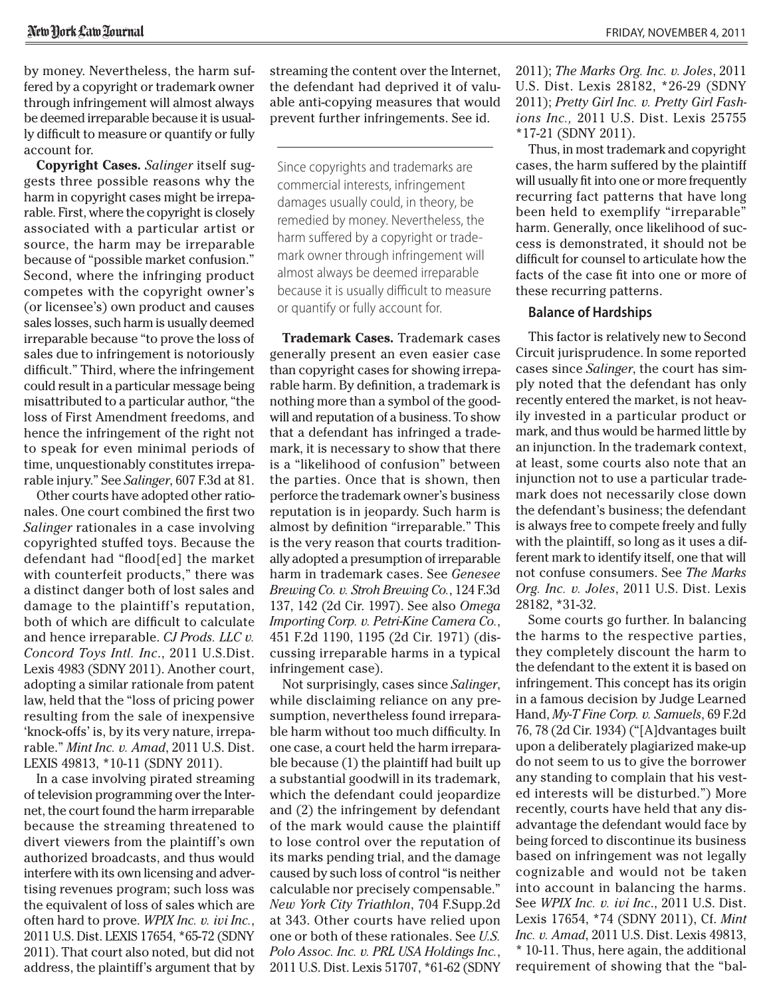by money. Nevertheless, the harm suffered by a copyright or trademark owner through infringement will almost always be deemed irreparable because it is usually difficult to measure or quantify or fully account for.

**Copyright Cases.** *Salinger* itself suggests three possible reasons why the harm in copyright cases might be irreparable. First, where the copyright is closely associated with a particular artist or source, the harm may be irreparable because of "possible market confusion." Second, where the infringing product competes with the copyright owner's (or licensee's) own product and causes sales losses, such harm is usually deemed irreparable because "to prove the loss of sales due to infringement is notoriously difficult." Third, where the infringement could result in a particular message being misattributed to a particular author, "the loss of First Amendment freedoms, and hence the infringement of the right not to speak for even minimal periods of time, unquestionably constitutes irreparable injury." See *Salinger*, 607 F.3d at 81.

Other courts have adopted other rationales. One court combined the first two *Salinger* rationales in a case involving copyrighted stuffed toys. Because the defendant had "flood[ed] the market with counterfeit products," there was a distinct danger both of lost sales and damage to the plaintiff's reputation, both of which are difficult to calculate and hence irreparable. *CJ Prods. LLC v. Concord Toys Intl. Inc*., 2011 U.S.Dist. Lexis 4983 (SDNY 2011). Another court, adopting a similar rationale from patent law, held that the "loss of pricing power resulting from the sale of inexpensive 'knock-offs' is, by its very nature, irreparable." *Mint Inc. v. Amad*, 2011 U.S. Dist. LEXIS 49813, \*10-11 (SDNY 2011).

In a case involving pirated streaming of television programming over the Internet, the court found the harm irreparable because the streaming threatened to divert viewers from the plaintiff's own authorized broadcasts, and thus would interfere with its own licensing and advertising revenues program; such loss was the equivalent of loss of sales which are often hard to prove. *WPIX Inc. v. ivi Inc.*, 2011 U.S. Dist. LEXIS 17654, \*65-72 (SDNY 2011). That court also noted, but did not address, the plaintiff's argument that by streaming the content over the Internet, the defendant had deprived it of valuable anti-copying measures that would prevent further infringements. See id.

Since copyrights and trademarks are commercial interests, infringement damages usually could, in theory, be remedied by money. Nevertheless, the harm suffered by a copyright or trademark owner through infringement will almost always be deemed irreparable because it is usually difficult to measure or quantify or fully account for.

**Trademark Cases.** Trademark cases generally present an even easier case than copyright cases for showing irreparable harm. By definition, a trademark is nothing more than a symbol of the goodwill and reputation of a business. To show that a defendant has infringed a trademark, it is necessary to show that there is a "likelihood of confusion" between the parties. Once that is shown, then perforce the trademark owner's business reputation is in jeopardy. Such harm is almost by definition "irreparable." This is the very reason that courts traditionally adopted a presumption of irreparable harm in trademark cases. See *Genesee Brewing Co. v. Stroh Brewing Co.*, 124 F.3d 137, 142 (2d Cir. 1997). See also *Omega Importing Corp. v. Petri-Kine Camera Co.*, 451 F.2d 1190, 1195 (2d Cir. 1971) (discussing irreparable harms in a typical infringement case).

Not surprisingly, cases since *Salinger*, while disclaiming reliance on any presumption, nevertheless found irreparable harm without too much difficulty. In one case, a court held the harm irreparable because (1) the plaintiff had built up a substantial goodwill in its trademark, which the defendant could jeopardize and (2) the infringement by defendant of the mark would cause the plaintiff to lose control over the reputation of its marks pending trial, and the damage caused by such loss of control "is neither calculable nor precisely compensable." *New York City Triathlon*, 704 F.Supp.2d at 343. Other courts have relied upon one or both of these rationales. See *U.S. Polo Assoc. Inc. v. PRL USA Holdings Inc.*, 2011 U.S. Dist. Lexis 51707, \*61-62 (SDNY

2011); *The Marks Org. Inc. v. Joles*, 2011 U.S. Dist. Lexis 28182, \*26-29 (SDNY 2011); *Pretty Girl Inc. v. Pretty Girl Fashions Inc.,* 2011 U.S. Dist. Lexis 25755 \*17-21 (SDNY 2011).

Thus, in most trademark and copyright cases, the harm suffered by the plaintiff will usually fit into one or more frequently recurring fact patterns that have long been held to exemplify "irreparable" harm. Generally, once likelihood of success is demonstrated, it should not be difficult for counsel to articulate how the facts of the case fit into one or more of these recurring patterns.

#### **Balance of Hardships**

This factor is relatively new to Second Circuit jurisprudence. In some reported cases since *Salinger*, the court has simply noted that the defendant has only recently entered the market, is not heavily invested in a particular product or mark, and thus would be harmed little by an injunction. In the trademark context, at least, some courts also note that an injunction not to use a particular trademark does not necessarily close down the defendant's business; the defendant is always free to compete freely and fully with the plaintiff, so long as it uses a different mark to identify itself, one that will not confuse consumers. See *The Marks Org. Inc. v. Joles*, 2011 U.S. Dist. Lexis 28182, \*31-32.

Some courts go further. In balancing the harms to the respective parties, they completely discount the harm to the defendant to the extent it is based on infringement. This concept has its origin in a famous decision by Judge Learned Hand, *My-T Fine Corp. v. Samuels*, 69 F.2d 76, 78 (2d Cir. 1934) ("[A]dvantages built upon a deliberately plagiarized make-up do not seem to us to give the borrower any standing to complain that his vested interests will be disturbed.") More recently, courts have held that any disadvantage the defendant would face by being forced to discontinue its business based on infringement was not legally cognizable and would not be taken into account in balancing the harms. See *WPIX Inc. v. ivi Inc*., 2011 U.S. Dist. Lexis 17654, \*74 (SDNY 2011), Cf. *Mint Inc. v. Amad*, 2011 U.S. Dist. Lexis 49813, \* 10-11. Thus, here again, the additional requirement of showing that the "bal